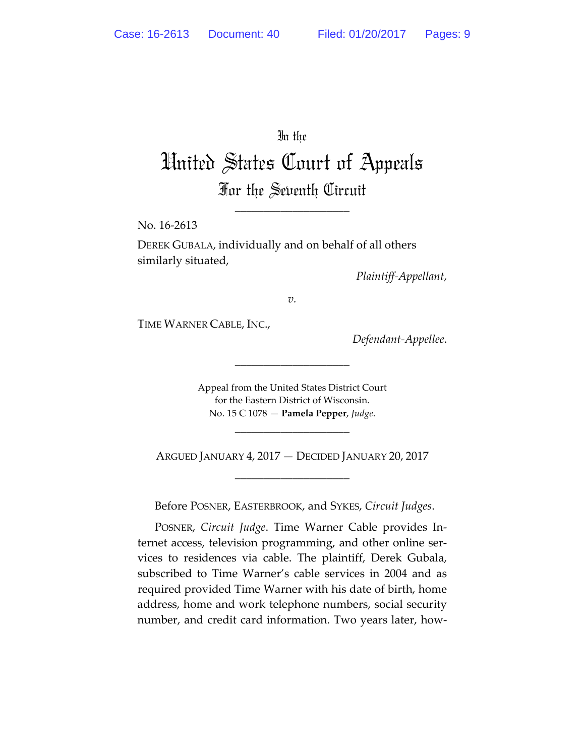In the

United States Court of Appeals For the Seventh Circuit

\_\_\_\_\_\_\_\_\_\_\_\_\_\_\_\_\_\_\_\_

No. 16-2613

DEREK GUBALA, individually and on behalf of all others similarly situated,

*Plaintiff-Appellant*,

*v.*

TIME WARNER CABLE, INC.,

*Defendant-Appellee*.

Appeal from the United States District Court for the Eastern District of Wisconsin. No. 15 C 1078 — **Pamela Pepper**, *Judge*.

\_\_\_\_\_\_\_\_\_\_\_\_\_\_\_\_\_\_\_\_

ARGUED JANUARY 4, 2017 — DECIDED JANUARY 20, 2017 \_\_\_\_\_\_\_\_\_\_\_\_\_\_\_\_\_\_\_\_

\_\_\_\_\_\_\_\_\_\_\_\_\_\_\_\_\_\_\_\_

Before POSNER, EASTERBROOK, and SYKES, *Circuit Judges*.

POSNER, *Circuit Judge*. Time Warner Cable provides Internet access, television programming, and other online services to residences via cable. The plaintiff, Derek Gubala, subscribed to Time Warner's cable services in 2004 and as required provided Time Warner with his date of birth, home address, home and work telephone numbers, social security number, and credit card information. Two years later, how-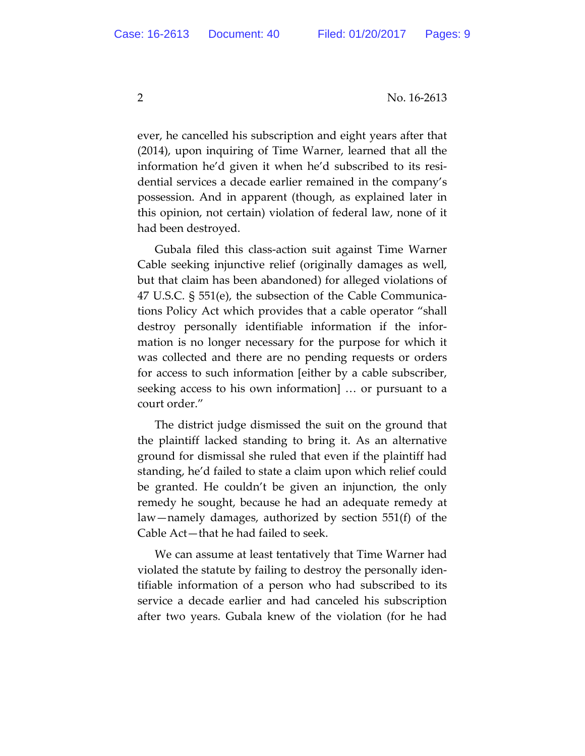ever, he cancelled his subscription and eight years after that (2014), upon inquiring of Time Warner, learned that all the information he'd given it when he'd subscribed to its residential services a decade earlier remained in the company's possession. And in apparent (though, as explained later in this opinion, not certain) violation of federal law, none of it had been destroyed.

Gubala filed this class-action suit against Time Warner Cable seeking injunctive relief (originally damages as well, but that claim has been abandoned) for alleged violations of 47 U.S.C. § 551(e), the subsection of the Cable Communications Policy Act which provides that a cable operator "shall destroy personally identifiable information if the information is no longer necessary for the purpose for which it was collected and there are no pending requests or orders for access to such information [either by a cable subscriber, seeking access to his own information] … or pursuant to a court order."

The district judge dismissed the suit on the ground that the plaintiff lacked standing to bring it. As an alternative ground for dismissal she ruled that even if the plaintiff had standing, he'd failed to state a claim upon which relief could be granted. He couldn't be given an injunction, the only remedy he sought, because he had an adequate remedy at law—namely damages, authorized by section 551(f) of the Cable Act—that he had failed to seek.

We can assume at least tentatively that Time Warner had violated the statute by failing to destroy the personally identifiable information of a person who had subscribed to its service a decade earlier and had canceled his subscription after two years. Gubala knew of the violation (for he had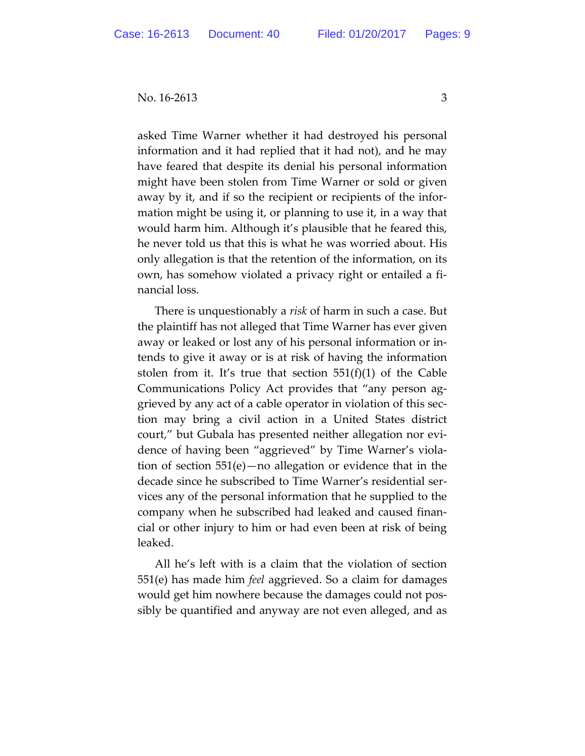asked Time Warner whether it had destroyed his personal information and it had replied that it had not), and he may have feared that despite its denial his personal information might have been stolen from Time Warner or sold or given away by it, and if so the recipient or recipients of the information might be using it, or planning to use it, in a way that would harm him. Although it's plausible that he feared this, he never told us that this is what he was worried about. His only allegation is that the retention of the information, on its own, has somehow violated a privacy right or entailed a financial loss.

There is unquestionably a *risk* of harm in such a case. But the plaintiff has not alleged that Time Warner has ever given away or leaked or lost any of his personal information or intends to give it away or is at risk of having the information stolen from it. It's true that section  $551(f)(1)$  of the Cable Communications Policy Act provides that "any person aggrieved by any act of a cable operator in violation of this section may bring a civil action in a United States district court," but Gubala has presented neither allegation nor evidence of having been "aggrieved" by Time Warner's violation of section 551(e)—no allegation or evidence that in the decade since he subscribed to Time Warner's residential services any of the personal information that he supplied to the company when he subscribed had leaked and caused financial or other injury to him or had even been at risk of being leaked.

All he's left with is a claim that the violation of section 551(e) has made him *feel* aggrieved. So a claim for damages would get him nowhere because the damages could not possibly be quantified and anyway are not even alleged, and as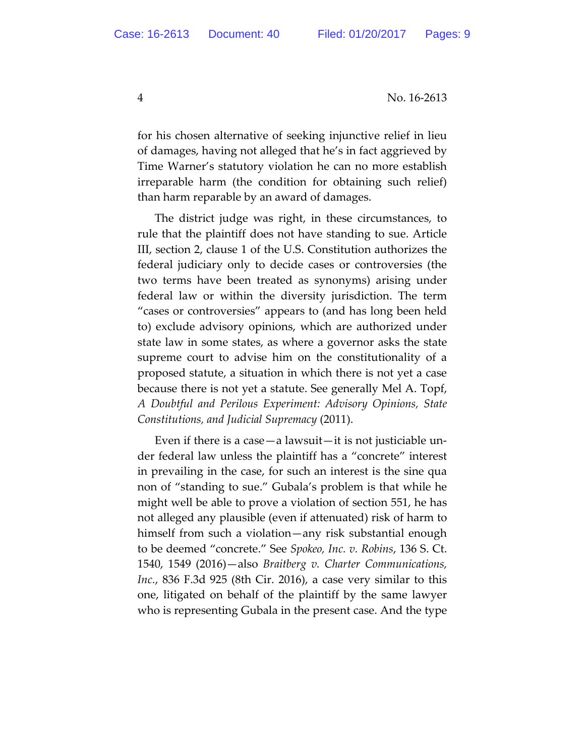for his chosen alternative of seeking injunctive relief in lieu of damages, having not alleged that he's in fact aggrieved by Time Warner's statutory violation he can no more establish irreparable harm (the condition for obtaining such relief) than harm reparable by an award of damages.

The district judge was right, in these circumstances, to rule that the plaintiff does not have standing to sue. Article III, section 2, clause 1 of the U.S. Constitution authorizes the federal judiciary only to decide cases or controversies (the two terms have been treated as synonyms) arising under federal law or within the diversity jurisdiction. The term "cases or controversies" appears to (and has long been held to) exclude advisory opinions, which are authorized under state law in some states, as where a governor asks the state supreme court to advise him on the constitutionality of a proposed statute, a situation in which there is not yet a case because there is not yet a statute. See generally Mel A. Topf, *A Doubtful and Perilous Experiment: Advisory Opinions, State Constitutions, and Judicial Supremacy* (2011).

Even if there is a case—a lawsuit—it is not justiciable under federal law unless the plaintiff has a "concrete" interest in prevailing in the case, for such an interest is the sine qua non of "standing to sue." Gubala's problem is that while he might well be able to prove a violation of section 551, he has not alleged any plausible (even if attenuated) risk of harm to himself from such a violation—any risk substantial enough to be deemed "concrete." See *Spokeo, Inc. v. Robins*, 136 S. Ct. 1540, 1549 (2016)—also *Braitberg v. Charter Communications, Inc.*, 836 F.3d 925 (8th Cir. 2016), a case very similar to this one, litigated on behalf of the plaintiff by the same lawyer who is representing Gubala in the present case. And the type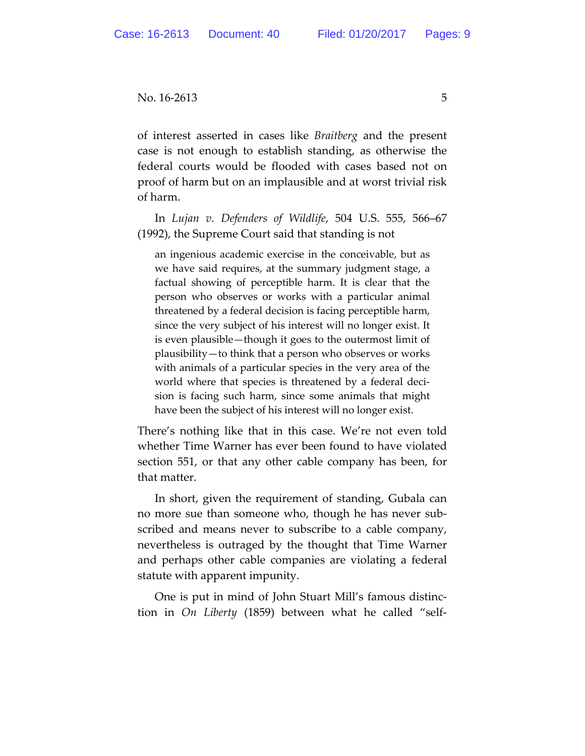of interest asserted in cases like *Braitberg* and the present case is not enough to establish standing, as otherwise the federal courts would be flooded with cases based not on proof of harm but on an implausible and at worst trivial risk of harm.

In *Lujan v. Defenders of Wildlife*, 504 U.S. 555, 566–67 (1992), the Supreme Court said that standing is not

an ingenious academic exercise in the conceivable, but as we have said requires, at the summary judgment stage, a factual showing of perceptible harm. It is clear that the person who observes or works with a particular animal threatened by a federal decision is facing perceptible harm, since the very subject of his interest will no longer exist. It is even plausible—though it goes to the outermost limit of plausibility—to think that a person who observes or works with animals of a particular species in the very area of the world where that species is threatened by a federal decision is facing such harm, since some animals that might have been the subject of his interest will no longer exist.

There's nothing like that in this case. We're not even told whether Time Warner has ever been found to have violated section 551, or that any other cable company has been, for that matter.

In short, given the requirement of standing, Gubala can no more sue than someone who, though he has never subscribed and means never to subscribe to a cable company, nevertheless is outraged by the thought that Time Warner and perhaps other cable companies are violating a federal statute with apparent impunity.

One is put in mind of John Stuart Mill's famous distinction in *On Liberty* (1859) between what he called "self-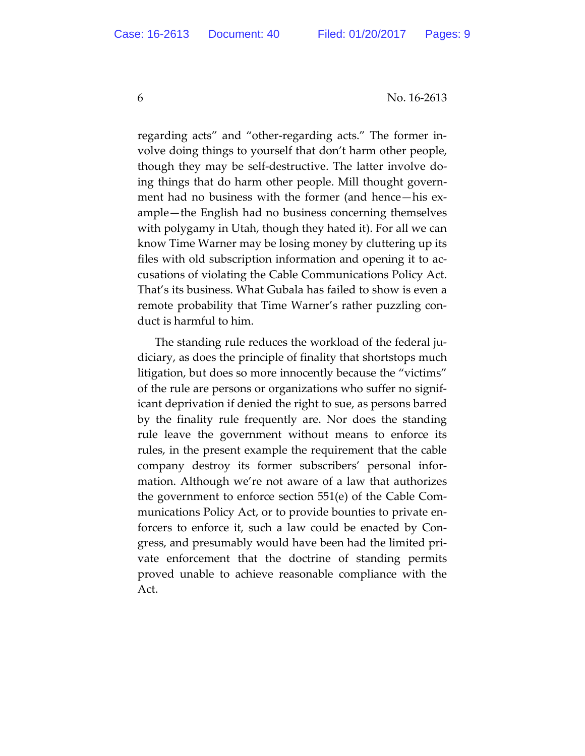regarding acts" and "other-regarding acts." The former involve doing things to yourself that don't harm other people, though they may be self-destructive. The latter involve doing things that do harm other people. Mill thought government had no business with the former (and hence—his example—the English had no business concerning themselves with polygamy in Utah, though they hated it). For all we can know Time Warner may be losing money by cluttering up its files with old subscription information and opening it to accusations of violating the Cable Communications Policy Act. That's its business. What Gubala has failed to show is even a remote probability that Time Warner's rather puzzling conduct is harmful to him.

The standing rule reduces the workload of the federal judiciary, as does the principle of finality that shortstops much litigation, but does so more innocently because the "victims" of the rule are persons or organizations who suffer no significant deprivation if denied the right to sue, as persons barred by the finality rule frequently are. Nor does the standing rule leave the government without means to enforce its rules, in the present example the requirement that the cable company destroy its former subscribers' personal information. Although we're not aware of a law that authorizes the government to enforce section 551(e) of the Cable Communications Policy Act, or to provide bounties to private enforcers to enforce it, such a law could be enacted by Congress, and presumably would have been had the limited private enforcement that the doctrine of standing permits proved unable to achieve reasonable compliance with the Act.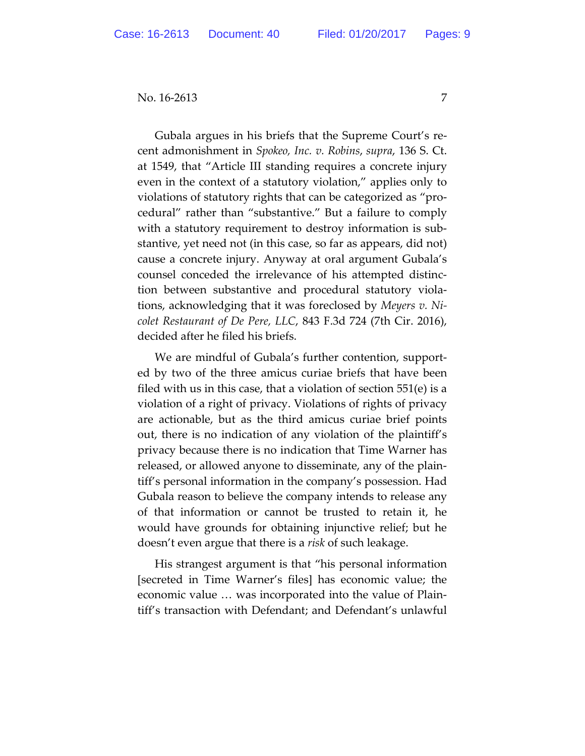Gubala argues in his briefs that the Supreme Court's recent admonishment in *Spokeo, Inc. v. Robins*, *supra*, 136 S. Ct. at 1549, that "Article III standing requires a concrete injury even in the context of a statutory violation," applies only to violations of statutory rights that can be categorized as "procedural" rather than "substantive." But a failure to comply with a statutory requirement to destroy information is substantive, yet need not (in this case, so far as appears, did not) cause a concrete injury. Anyway at oral argument Gubala's counsel conceded the irrelevance of his attempted distinction between substantive and procedural statutory violations, acknowledging that it was foreclosed by *Meyers v. Nicolet Restaurant of De Pere, LLC*, 843 F.3d 724 (7th Cir. 2016), decided after he filed his briefs.

We are mindful of Gubala's further contention, supported by two of the three amicus curiae briefs that have been filed with us in this case, that a violation of section 551(e) is a violation of a right of privacy. Violations of rights of privacy are actionable, but as the third amicus curiae brief points out, there is no indication of any violation of the plaintiff's privacy because there is no indication that Time Warner has released, or allowed anyone to disseminate, any of the plaintiff's personal information in the company's possession. Had Gubala reason to believe the company intends to release any of that information or cannot be trusted to retain it, he would have grounds for obtaining injunctive relief; but he doesn't even argue that there is a *risk* of such leakage.

His strangest argument is that "his personal information [secreted in Time Warner's files] has economic value; the economic value … was incorporated into the value of Plaintiff's transaction with Defendant; and Defendant's unlawful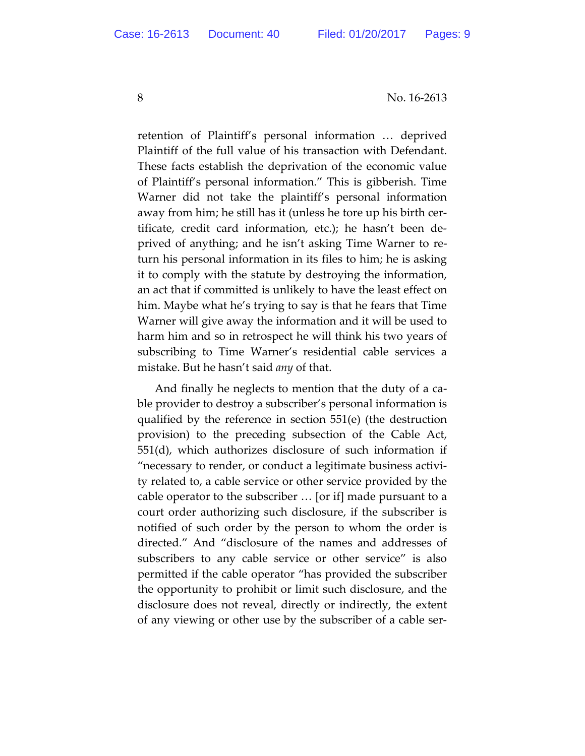retention of Plaintiff's personal information … deprived Plaintiff of the full value of his transaction with Defendant. These facts establish the deprivation of the economic value of Plaintiff's personal information." This is gibberish. Time Warner did not take the plaintiff's personal information away from him; he still has it (unless he tore up his birth certificate, credit card information, etc.); he hasn't been deprived of anything; and he isn't asking Time Warner to return his personal information in its files to him; he is asking it to comply with the statute by destroying the information, an act that if committed is unlikely to have the least effect on him. Maybe what he's trying to say is that he fears that Time Warner will give away the information and it will be used to harm him and so in retrospect he will think his two years of subscribing to Time Warner's residential cable services a mistake. But he hasn't said *any* of that.

And finally he neglects to mention that the duty of a cable provider to destroy a subscriber's personal information is qualified by the reference in section 551(e) (the destruction provision) to the preceding subsection of the Cable Act, 551(d), which authorizes disclosure of such information if "necessary to render, or conduct a legitimate business activity related to, a cable service or other service provided by the cable operator to the subscriber … [or if] made pursuant to a court order authorizing such disclosure, if the subscriber is notified of such order by the person to whom the order is directed." And "disclosure of the names and addresses of subscribers to any cable service or other service" is also permitted if the cable operator "has provided the subscriber the opportunity to prohibit or limit such disclosure, and the disclosure does not reveal, directly or indirectly, the extent of any viewing or other use by the subscriber of a cable ser-